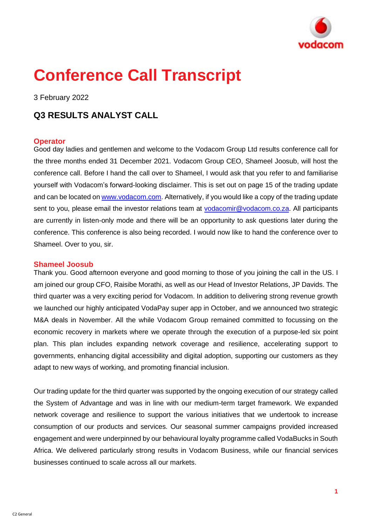

# **Conference Call Transcript**

3 February 2022

## **Q3 RESULTS ANALYST CALL**

## **Operator**

Good day ladies and gentlemen and welcome to the Vodacom Group Ltd results conference call for the three months ended 31 December 2021. Vodacom Group CEO, Shameel Joosub, will host the conference call. Before I hand the call over to Shameel, I would ask that you refer to and familiarise yourself with Vodacom's forward-looking disclaimer. This is set out on page 15 of the trading update and can be located o[n www.vodacom.com.](http://www.vodacom.com/) Alternatively, if you would like a copy of the trading update sent to you, please email the investor relations team at [vodacomir@vodacom.co.za.](mailto:vodacomir@vodacom.co.za) All participants are currently in listen-only mode and there will be an opportunity to ask questions later during the conference. This conference is also being recorded. I would now like to hand the conference over to Shameel. Over to you, sir.

## **Shameel Joosub**

Thank you. Good afternoon everyone and good morning to those of you joining the call in the US. I am joined our group CFO, Raisibe Morathi, as well as our Head of Investor Relations, JP Davids. The third quarter was a very exciting period for Vodacom. In addition to delivering strong revenue growth we launched our highly anticipated VodaPay super app in October, and we announced two strategic M&A deals in November. All the while Vodacom Group remained committed to focussing on the economic recovery in markets where we operate through the execution of a purpose-led six point plan. This plan includes expanding network coverage and resilience, accelerating support to governments, enhancing digital accessibility and digital adoption, supporting our customers as they adapt to new ways of working, and promoting financial inclusion.

Our trading update for the third quarter was supported by the ongoing execution of our strategy called the System of Advantage and was in line with our medium-term target framework. We expanded network coverage and resilience to support the various initiatives that we undertook to increase consumption of our products and services. Our seasonal summer campaigns provided increased engagement and were underpinned by our behavioural loyalty programme called VodaBucks in South Africa. We delivered particularly strong results in Vodacom Business, while our financial services businesses continued to scale across all our markets.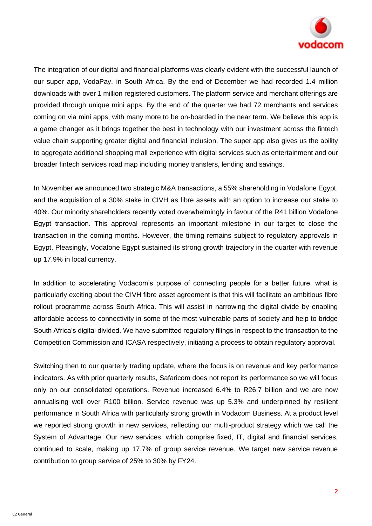

The integration of our digital and financial platforms was clearly evident with the successful launch of our super app, VodaPay, in South Africa. By the end of December we had recorded 1.4 million downloads with over 1 million registered customers. The platform service and merchant offerings are provided through unique mini apps. By the end of the quarter we had 72 merchants and services coming on via mini apps, with many more to be on-boarded in the near term. We believe this app is a game changer as it brings together the best in technology with our investment across the fintech value chain supporting greater digital and financial inclusion. The super app also gives us the ability to aggregate additional shopping mall experience with digital services such as entertainment and our broader fintech services road map including money transfers, lending and savings.

In November we announced two strategic M&A transactions, a 55% shareholding in Vodafone Egypt, and the acquisition of a 30% stake in CIVH as fibre assets with an option to increase our stake to 40%. Our minority shareholders recently voted overwhelmingly in favour of the R41 billion Vodafone Egypt transaction. This approval represents an important milestone in our target to close the transaction in the coming months. However, the timing remains subject to regulatory approvals in Egypt. Pleasingly, Vodafone Egypt sustained its strong growth trajectory in the quarter with revenue up 17.9% in local currency.

In addition to accelerating Vodacom's purpose of connecting people for a better future, what is particularly exciting about the CIVH fibre asset agreement is that this will facilitate an ambitious fibre rollout programme across South Africa. This will assist in narrowing the digital divide by enabling affordable access to connectivity in some of the most vulnerable parts of society and help to bridge South Africa's digital divided. We have submitted regulatory filings in respect to the transaction to the Competition Commission and ICASA respectively, initiating a process to obtain regulatory approval.

Switching then to our quarterly trading update, where the focus is on revenue and key performance indicators. As with prior quarterly results, Safaricom does not report its performance so we will focus only on our consolidated operations. Revenue increased 6.4% to R26.7 billion and we are now annualising well over R100 billion. Service revenue was up 5.3% and underpinned by resilient performance in South Africa with particularly strong growth in Vodacom Business. At a product level we reported strong growth in new services, reflecting our multi-product strategy which we call the System of Advantage. Our new services, which comprise fixed, IT, digital and financial services, continued to scale, making up 17.7% of group service revenue. We target new service revenue contribution to group service of 25% to 30% by FY24.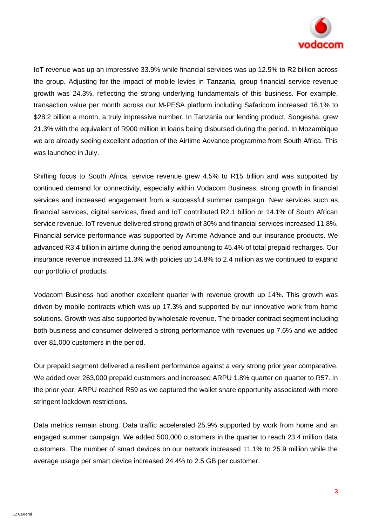

IoT revenue was up an impressive 33.9% while financial services was up 12.5% to R2 billion across the group. Adjusting for the impact of mobile levies in Tanzania, group financial service revenue growth was 24.3%, reflecting the strong underlying fundamentals of this business. For example, transaction value per month across our M-PESA platform including Safaricom increased 16.1% to \$28.2 billion a month, a truly impressive number. In Tanzania our lending product, Songesha, grew 21.3% with the equivalent of R900 million in loans being disbursed during the period. In Mozambique we are already seeing excellent adoption of the Airtime Advance programme from South Africa. This was launched in July.

Shifting focus to South Africa, service revenue grew 4.5% to R15 billion and was supported by continued demand for connectivity, especially within Vodacom Business, strong growth in financial services and increased engagement from a successful summer campaign. New services such as financial services, digital services, fixed and IoT contributed R2.1 billion or 14.1% of South African service revenue. IoT revenue delivered strong growth of 30% and financial services increased 11.8%. Financial service performance was supported by Airtime Advance and our insurance products. We advanced R3.4 billion in airtime during the period amounting to 45.4% of total prepaid recharges. Our insurance revenue increased 11.3% with policies up 14.8% to 2.4 million as we continued to expand our portfolio of products.

Vodacom Business had another excellent quarter with revenue growth up 14%. This growth was driven by mobile contracts which was up 17.3% and supported by our innovative work from home solutions. Growth was also supported by wholesale revenue. The broader contract segment including both business and consumer delivered a strong performance with revenues up 7.6% and we added over 81,000 customers in the period.

Our prepaid segment delivered a resilient performance against a very strong prior year comparative. We added over 263,000 prepaid customers and increased ARPU 1.8% quarter on quarter to R57. In the prior year, ARPU reached R59 as we captured the wallet share opportunity associated with more stringent lockdown restrictions.

Data metrics remain strong. Data traffic accelerated 25.9% supported by work from home and an engaged summer campaign. We added 500,000 customers in the quarter to reach 23.4 million data customers. The number of smart devices on our network increased 11.1% to 25.9 million while the average usage per smart device increased 24.4% to 2.5 GB per customer.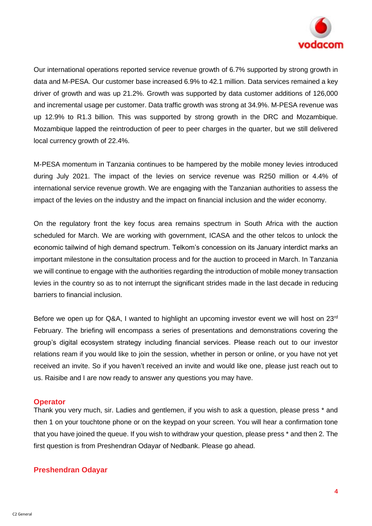

Our international operations reported service revenue growth of 6.7% supported by strong growth in data and M-PESA. Our customer base increased 6.9% to 42.1 million. Data services remained a key driver of growth and was up 21.2%. Growth was supported by data customer additions of 126,000 and incremental usage per customer. Data traffic growth was strong at 34.9%. M-PESA revenue was up 12.9% to R1.3 billion. This was supported by strong growth in the DRC and Mozambique. Mozambique lapped the reintroduction of peer to peer charges in the quarter, but we still delivered local currency growth of 22.4%.

M-PESA momentum in Tanzania continues to be hampered by the mobile money levies introduced during July 2021. The impact of the levies on service revenue was R250 million or 4.4% of international service revenue growth. We are engaging with the Tanzanian authorities to assess the impact of the levies on the industry and the impact on financial inclusion and the wider economy.

On the regulatory front the key focus area remains spectrum in South Africa with the auction scheduled for March. We are working with government, ICASA and the other telcos to unlock the economic tailwind of high demand spectrum. Telkom's concession on its January interdict marks an important milestone in the consultation process and for the auction to proceed in March. In Tanzania we will continue to engage with the authorities regarding the introduction of mobile money transaction levies in the country so as to not interrupt the significant strides made in the last decade in reducing barriers to financial inclusion.

Before we open up for Q&A. I wanted to highlight an upcoming investor event we will host on 23<sup>rd</sup> February. The briefing will encompass a series of presentations and demonstrations covering the group's digital ecosystem strategy including financial services. Please reach out to our investor relations ream if you would like to join the session, whether in person or online, or you have not yet received an invite. So if you haven't received an invite and would like one, please just reach out to us. Raisibe and I are now ready to answer any questions you may have.

## **Operator**

Thank you very much, sir. Ladies and gentlemen, if you wish to ask a question, please press \* and then 1 on your touchtone phone or on the keypad on your screen. You will hear a confirmation tone that you have joined the queue. If you wish to withdraw your question, please press \* and then 2. The first question is from Preshendran Odayar of Nedbank. Please go ahead.

## **Preshendran Odayar**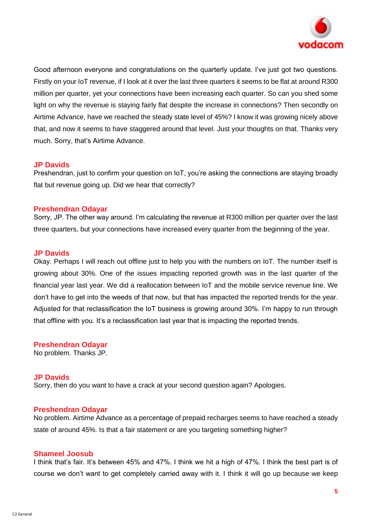

Good afternoon everyone and congratulations on the quarterly update. I've just got two questions. Firstly on your IoT revenue, if I look at it over the last three quarters it seems to be flat at around R300 million per quarter, yet your connections have been increasing each quarter. So can you shed some light on why the revenue is staying fairly flat despite the increase in connections? Then secondly on Airtime Advance, have we reached the steady state level of 45%? I know it was growing nicely above that, and now it seems to have staggered around that level. Just your thoughts on that. Thanks very much. Sorry, that's Airtime Advance.

## **JP Davids**

Preshendran, just to confirm your question on IoT, you're asking the connections are staying broadly flat but revenue going up. Did we hear that correctly?

## **Preshendran Odayar**

Sorry, JP. The other way around. I'm calculating the revenue at R300 million per quarter over the last three quarters, but your connections have increased every quarter from the beginning of the year.

## **JP Davids**

Okay. Perhaps I will reach out offline just to help you with the numbers on IoT. The number itself is growing about 30%. One of the issues impacting reported growth was in the last quarter of the financial year last year. We did a reallocation between IoT and the mobile service revenue line. We don't have to get into the weeds of that now, but that has impacted the reported trends for the year. Adjusted for that reclassification the IoT business is growing around 30%. I'm happy to run through that offline with you. It's a reclassification last year that is impacting the reported trends.

**Preshendran Odayar** No problem. Thanks JP.

## **JP Davids**

Sorry, then do you want to have a crack at your second question again? Apologies.

## **Preshendran Odayar**

No problem. Airtime Advance as a percentage of prepaid recharges seems to have reached a steady state of around 45%. Is that a fair statement or are you targeting something higher?

## **Shameel Joosub**

I think that's fair. It's between 45% and 47%. I think we hit a high of 47%. I think the best part is of course we don't want to get completely carried away with it. I think it will go up because we keep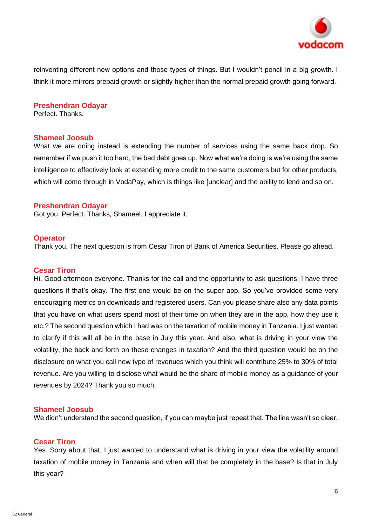

reinventing different new options and those types of things. But I wouldn't pencil in a big growth. I think it more mirrors prepaid growth or slightly higher than the normal prepaid growth going forward.

## **Preshendran Odayar**

Perfect. Thanks.

## **Shameel Joosub**

What we are doing instead is extending the number of services using the same back drop. So remember if we push it too hard, the bad debt goes up. Now what we're doing is we're using the same intelligence to effectively look at extending more credit to the same customers but for other products, which will come through in VodaPay, which is things like [unclear] and the ability to lend and so on.

## **Preshendran Odayar**

Got you. Perfect. Thanks, Shameel. I appreciate it.

## **Operator**

Thank you. The next question is from Cesar Tiron of Bank of America Securities. Please go ahead.

## **Cesar Tiron**

Hi. Good afternoon everyone. Thanks for the call and the opportunity to ask questions. I have three questions if that's okay. The first one would be on the super app. So you've provided some very encouraging metrics on downloads and registered users. Can you please share also any data points that you have on what users spend most of their time on when they are in the app, how they use it etc.? The second question which I had was on the taxation of mobile money in Tanzania. I just wanted to clarify if this will all be in the base in July this year. And also, what is driving in your view the volatility, the back and forth on these changes in taxation? And the third question would be on the disclosure on what you call new type of revenues which you think will contribute 25% to 30% of total revenue. Are you willing to disclose what would be the share of mobile money as a guidance of your revenues by 2024? Thank you so much.

## **Shameel Joosub**

We didn't understand the second question, if you can maybe just repeat that. The line wasn't so clear.

## **Cesar Tiron**

Yes. Sorry about that. I just wanted to understand what is driving in your view the volatility around taxation of mobile money in Tanzania and when will that be completely in the base? Is that in July this year?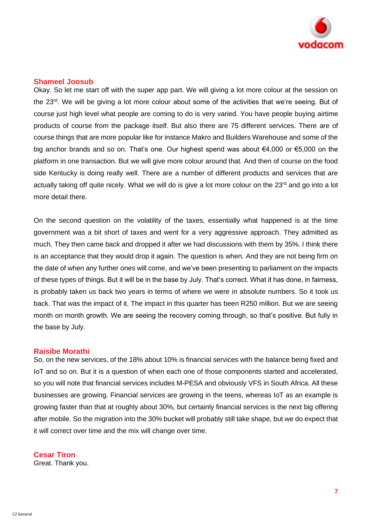

## **Shameel Joosub**

Okay. So let me start off with the super app part. We will giving a lot more colour at the session on the 23rd. We will be giving a lot more colour about some of the activities that we're seeing. But of course just high level what people are coming to do is very varied. You have people buying airtime products of course from the package itself. But also there are 75 different services. There are of course things that are more popular like for instance Makro and Builders Warehouse and some of the big anchor brands and so on. That's one. Our highest spend was about €4,000 or €5,000 on the platform in one transaction. But we will give more colour around that. And then of course on the food side Kentucky is doing really well. There are a number of different products and services that are actually taking off quite nicely. What we will do is give a lot more colour on the 23<sup>rd</sup> and go into a lot more detail there.

On the second question on the volatility of the taxes, essentially what happened is at the time government was a bit short of taxes and went for a very aggressive approach. They admitted as much. They then came back and dropped it after we had discussions with them by 35%. I think there is an acceptance that they would drop it again. The question is when. And they are not being firm on the date of when any further ones will come, and we've been presenting to parliament on the impacts of these types of things. But it will be in the base by July. That's correct. What it has done, in fairness, is probably taken us back two years in terms of where we were in absolute numbers. So it took us back. That was the impact of it. The impact in this quarter has been R250 million. But we are seeing month on month growth. We are seeing the recovery coming through, so that's positive. But fully in the base by July.

#### **Raisibe Morathi**

So, on the new services, of the 18% about 10% is financial services with the balance being fixed and IoT and so on. But it is a question of when each one of those components started and accelerated, so you will note that financial services includes M-PESA and obviously VFS in South Africa. All these businesses are growing. Financial services are growing in the teens, whereas IoT as an example is growing faster than that at roughly about 30%, but certainly financial services is the next big offering after mobile. So the migration into the 30% bucket will probably still take shape, but we do expect that it will correct over time and the mix will change over time.

**Cesar Tiron**

Great. Thank you.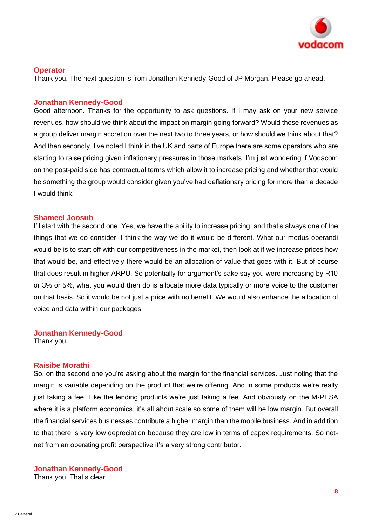

## **Operator**

Thank you. The next question is from Jonathan Kennedy-Good of JP Morgan. Please go ahead.

## **Jonathan Kennedy-Good**

Good afternoon. Thanks for the opportunity to ask questions. If I may ask on your new service revenues, how should we think about the impact on margin going forward? Would those revenues as a group deliver margin accretion over the next two to three years, or how should we think about that? And then secondly, I've noted I think in the UK and parts of Europe there are some operators who are starting to raise pricing given inflationary pressures in those markets. I'm just wondering if Vodacom on the post-paid side has contractual terms which allow it to increase pricing and whether that would be something the group would consider given you've had deflationary pricing for more than a decade I would think.

## **Shameel Joosub**

I'll start with the second one. Yes, we have the ability to increase pricing, and that's always one of the things that we do consider. I think the way we do it would be different. What our modus operandi would be is to start off with our competitiveness in the market, then look at if we increase prices how that would be, and effectively there would be an allocation of value that goes with it. But of course that does result in higher ARPU. So potentially for argument's sake say you were increasing by R10 or 3% or 5%, what you would then do is allocate more data typically or more voice to the customer on that basis. So it would be not just a price with no benefit. We would also enhance the allocation of voice and data within our packages.

## **Jonathan Kennedy-Good**

Thank you.

## **Raisibe Morathi**

So, on the second one you're asking about the margin for the financial services. Just noting that the margin is variable depending on the product that we're offering. And in some products we're really just taking a fee. Like the lending products we're just taking a fee. And obviously on the M-PESA where it is a platform economics, it's all about scale so some of them will be low margin. But overall the financial services businesses contribute a higher margin than the mobile business. And in addition to that there is very low depreciation because they are low in terms of capex requirements. So netnet from an operating profit perspective it's a very strong contributor.

**Jonathan Kennedy-Good** Thank you. That's clear.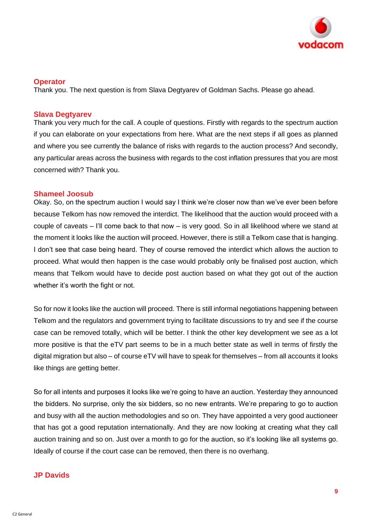

## **Operator**

Thank you. The next question is from Slava Degtyarev of Goldman Sachs. Please go ahead.

## **Slava Degtyarev**

Thank you very much for the call. A couple of questions. Firstly with regards to the spectrum auction if you can elaborate on your expectations from here. What are the next steps if all goes as planned and where you see currently the balance of risks with regards to the auction process? And secondly, any particular areas across the business with regards to the cost inflation pressures that you are most concerned with? Thank you.

## **Shameel Joosub**

Okay. So, on the spectrum auction I would say I think we're closer now than we've ever been before because Telkom has now removed the interdict. The likelihood that the auction would proceed with a couple of caveats – I'll come back to that now – is very good. So in all likelihood where we stand at the moment it looks like the auction will proceed. However, there is still a Telkom case that is hanging. I don't see that case being heard. They of course removed the interdict which allows the auction to proceed. What would then happen is the case would probably only be finalised post auction, which means that Telkom would have to decide post auction based on what they got out of the auction whether it's worth the fight or not.

So for now it looks like the auction will proceed. There is still informal negotiations happening between Telkom and the regulators and government trying to facilitate discussions to try and see if the course case can be removed totally, which will be better. I think the other key development we see as a lot more positive is that the eTV part seems to be in a much better state as well in terms of firstly the digital migration but also – of course eTV will have to speak for themselves – from all accounts it looks like things are getting better.

So for all intents and purposes it looks like we're going to have an auction. Yesterday they announced the bidders. No surprise, only the six bidders, so no new entrants. We're preparing to go to auction and busy with all the auction methodologies and so on. They have appointed a very good auctioneer that has got a good reputation internationally. And they are now looking at creating what they call auction training and so on. Just over a month to go for the auction, so it's looking like all systems go. Ideally of course if the court case can be removed, then there is no overhang.

## **JP Davids**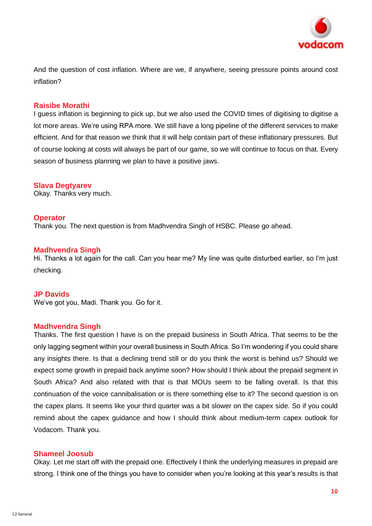

And the question of cost inflation. Where are we, if anywhere, seeing pressure points around cost inflation?

## **Raisibe Morathi**

I guess inflation is beginning to pick up, but we also used the COVID times of digitising to digitise a lot more areas. We're using RPA more. We still have a long pipeline of the different services to make efficient. And for that reason we think that it will help contain part of these inflationary pressures. But of course looking at costs will always be part of our game, so we will continue to focus on that. Every season of business planning we plan to have a positive jaws.

## **Slava Degtyarev**

Okay. Thanks very much.

#### **Operator**

Thank you. The next question is from Madhvendra Singh of HSBC. Please go ahead.

## **Madhvendra Singh**

Hi. Thanks a lot again for the call. Can you hear me? My line was quite disturbed earlier, so I'm just checking.

## **JP Davids**

We've got you, Madi. Thank you. Go for it.

## **Madhvendra Singh**

Thanks. The first question I have is on the prepaid business in South Africa. That seems to be the only lagging segment within your overall business in South Africa. So I'm wondering if you could share any insights there. Is that a declining trend still or do you think the worst is behind us? Should we expect some growth in prepaid back anytime soon? How should I think about the prepaid segment in South Africa? And also related with that is that MOUs seem to be falling overall. Is that this continuation of the voice cannibalisation or is there something else to it? The second question is on the capex plans. It seems like your third quarter was a bit slower on the capex side. So if you could remind about the capex guidance and how I should think about medium-term capex outlook for Vodacom. Thank you.

#### **Shameel Joosub**

Okay. Let me start off with the prepaid one. Effectively I think the underlying measures in prepaid are strong. I think one of the things you have to consider when you're looking at this year's results is that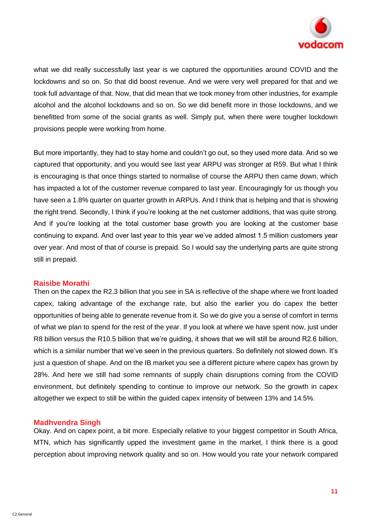

what we did really successfully last year is we captured the opportunities around COVID and the lockdowns and so on. So that did boost revenue. And we were very well prepared for that and we took full advantage of that. Now, that did mean that we took money from other industries, for example alcohol and the alcohol lockdowns and so on. So we did benefit more in those lockdowns, and we benefitted from some of the social grants as well. Simply put, when there were tougher lockdown provisions people were working from home.

But more importantly, they had to stay home and couldn't go out, so they used more data. And so we captured that opportunity, and you would see last year ARPU was stronger at R59. But what I think is encouraging is that once things started to normalise of course the ARPU then came down, which has impacted a lot of the customer revenue compared to last year. Encouragingly for us though you have seen a 1.8% quarter on quarter growth in ARPUs. And I think that is helping and that is showing the right trend. Secondly, I think if you're looking at the net customer additions, that was quite strong. And if you're looking at the total customer base growth you are looking at the customer base continuing to expand. And over last year to this year we've added almost 1.5 million customers year over year. And most of that of course is prepaid. So I would say the underlying parts are quite strong still in prepaid.

## **Raisibe Morathi**

Then on the capex the R2.3 billion that you see in SA is reflective of the shape where we front loaded capex, taking advantage of the exchange rate, but also the earlier you do capex the better opportunities of being able to generate revenue from it. So we do give you a sense of comfort in terms of what we plan to spend for the rest of the year. If you look at where we have spent now, just under R8 billion versus the R10.5 billion that we're guiding, it shows that we will still be around R2.6 billion, which is a similar number that we've seen in the previous quarters. So definitely not slowed down. It's just a question of shape. And on the IB market you see a different picture where capex has grown by 28%. And here we still had some remnants of supply chain disruptions coming from the COVID environment, but definitely spending to continue to improve our network. So the growth in capex altogether we expect to still be within the guided capex intensity of between 13% and 14.5%.

## **Madhvendra Singh**

Okay. And on capex point, a bit more. Especially relative to your biggest competitor in South Africa, MTN, which has significantly upped the investment game in the market, I think there is a good perception about improving network quality and so on. How would you rate your network compared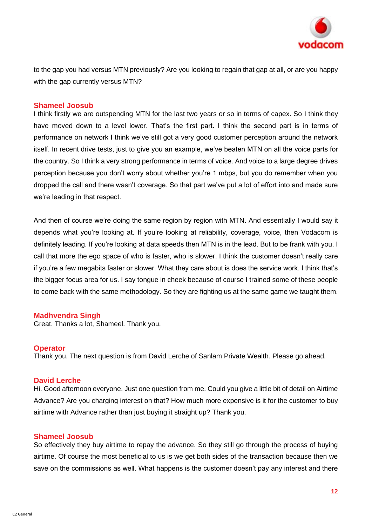

to the gap you had versus MTN previously? Are you looking to regain that gap at all, or are you happy with the gap currently versus MTN?

## **Shameel Joosub**

I think firstly we are outspending MTN for the last two years or so in terms of capex. So I think they have moved down to a level lower. That's the first part. I think the second part is in terms of performance on network I think we've still got a very good customer perception around the network itself. In recent drive tests, just to give you an example, we've beaten MTN on all the voice parts for the country. So I think a very strong performance in terms of voice. And voice to a large degree drives perception because you don't worry about whether you're 1 mbps, but you do remember when you dropped the call and there wasn't coverage. So that part we've put a lot of effort into and made sure we're leading in that respect.

And then of course we're doing the same region by region with MTN. And essentially I would say it depends what you're looking at. If you're looking at reliability, coverage, voice, then Vodacom is definitely leading. If you're looking at data speeds then MTN is in the lead. But to be frank with you, I call that more the ego space of who is faster, who is slower. I think the customer doesn't really care if you're a few megabits faster or slower. What they care about is does the service work. I think that's the bigger focus area for us. I say tongue in cheek because of course I trained some of these people to come back with the same methodology. So they are fighting us at the same game we taught them.

## **Madhvendra Singh**

Great. Thanks a lot, Shameel. Thank you.

## **Operator**

Thank you. The next question is from David Lerche of Sanlam Private Wealth. Please go ahead.

## **David Lerche**

Hi. Good afternoon everyone. Just one question from me. Could you give a little bit of detail on Airtime Advance? Are you charging interest on that? How much more expensive is it for the customer to buy airtime with Advance rather than just buying it straight up? Thank you.

## **Shameel Joosub**

So effectively they buy airtime to repay the advance. So they still go through the process of buying airtime. Of course the most beneficial to us is we get both sides of the transaction because then we save on the commissions as well. What happens is the customer doesn't pay any interest and there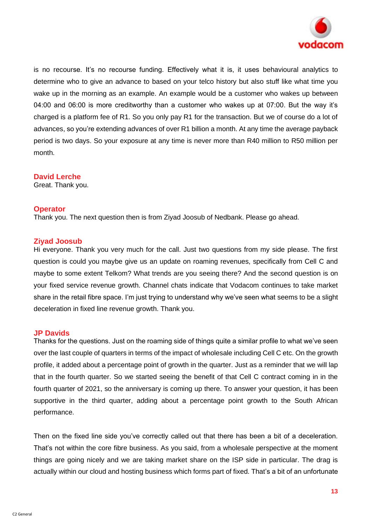

is no recourse. It's no recourse funding. Effectively what it is, it uses behavioural analytics to determine who to give an advance to based on your telco history but also stuff like what time you wake up in the morning as an example. An example would be a customer who wakes up between 04:00 and 06:00 is more creditworthy than a customer who wakes up at 07:00. But the way it's charged is a platform fee of R1. So you only pay R1 for the transaction. But we of course do a lot of advances, so you're extending advances of over R1 billion a month. At any time the average payback period is two days. So your exposure at any time is never more than R40 million to R50 million per month.

## **David Lerche**

Great. Thank you.

## **Operator**

Thank you. The next question then is from Ziyad Joosub of Nedbank. Please go ahead.

## **Ziyad Joosub**

Hi everyone. Thank you very much for the call. Just two questions from my side please. The first question is could you maybe give us an update on roaming revenues, specifically from Cell C and maybe to some extent Telkom? What trends are you seeing there? And the second question is on your fixed service revenue growth. Channel chats indicate that Vodacom continues to take market share in the retail fibre space. I'm just trying to understand why we've seen what seems to be a slight deceleration in fixed line revenue growth. Thank you.

## **JP Davids**

Thanks for the questions. Just on the roaming side of things quite a similar profile to what we've seen over the last couple of quarters in terms of the impact of wholesale including Cell C etc. On the growth profile, it added about a percentage point of growth in the quarter. Just as a reminder that we will lap that in the fourth quarter. So we started seeing the benefit of that Cell C contract coming in in the fourth quarter of 2021, so the anniversary is coming up there. To answer your question, it has been supportive in the third quarter, adding about a percentage point growth to the South African performance.

Then on the fixed line side you've correctly called out that there has been a bit of a deceleration. That's not within the core fibre business. As you said, from a wholesale perspective at the moment things are going nicely and we are taking market share on the ISP side in particular. The drag is actually within our cloud and hosting business which forms part of fixed. That's a bit of an unfortunate